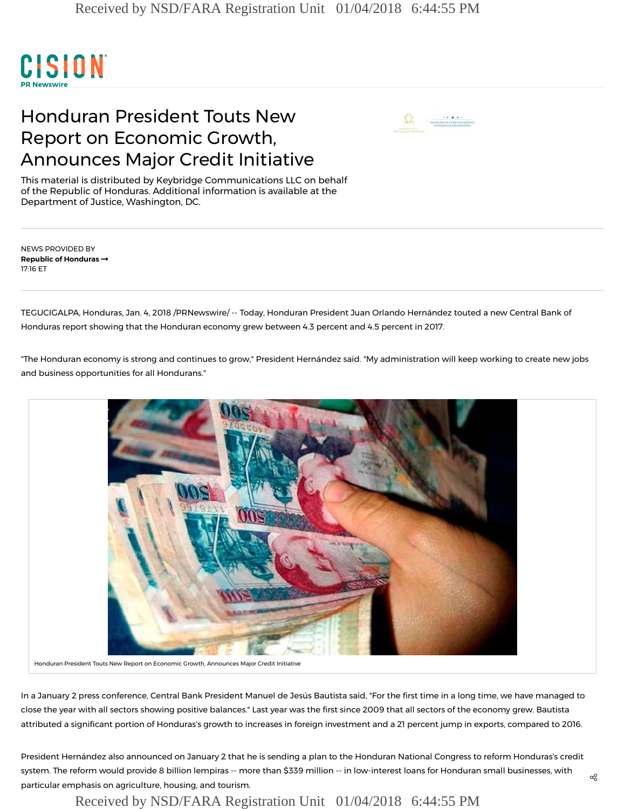

## Honduran President Touts New Report on Economic Growth, Announces Major Credit Initiative



This material is distributed by Keybridge Communications LLC on behalf of the Republic of Honduras. Additional information is available at the Department of Justice, Washington, DC.

NEWS PROVIDED BY Republic of [Honduras](https://www.prnewswire.com/news/republic-of-honduras) 17:16 ET

TEGUCIGALPA, Honduras, Jan. 4, 2018 /PRNewswire/ -- Today, Honduran President Juan Orlando Hernández touted a new Central Bank of Honduras report showing that the Honduran economy grew between 4.3 percent and 4.5 percent in 2017.

"The Honduran economy is strong and continues to grow," President Hernández said. "My administration will keep working to create new jobs and business opportunities for all Hondurans."



Honduran President Touts New Report on Economic Growth, Announces Major Credit Initiative

In a January 2 press conference, Central Bank President Manuel de Jesús Bautista said, "For the first time in a long time, we have managed to close the year with all sectors showing positive balances." Last year was the first since 2009 that all sectors of the economy grew. Bautista attributed a significant portion of Honduras's growth to increases in foreign investment and a 21 percent jump in exports, compared to 2016.

President Hernández also announced on January 2 that he is sending a plan to the Honduran National Congress to reform Honduras's credit system. The reform would provide 8 billion lempiras -- more than \$339 million -- in low-interest loans for Honduran small businesses, with particular emphasis on agriculture, housing, and tourism.

Received by NSD/FARA Registration Unit 01/04/2018 6:44:55 PM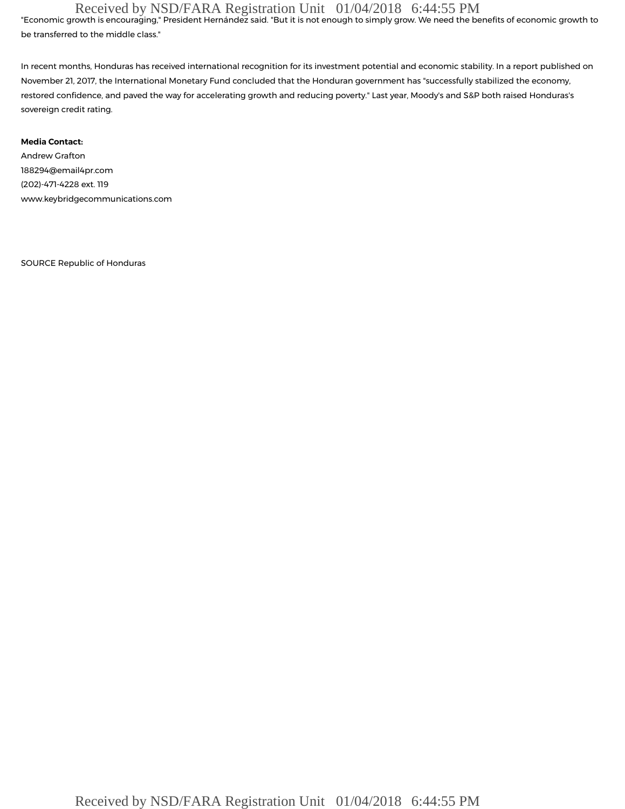## Received by NSD/FARA Registration Unit 01/04/2018 6:44:55 PM

"Economic growth is encouraging," President Hernández said. "But it is not enough to simply grow. We need the benefits of economic growth to be transferred to the middle class."

In recent months, Honduras has received international recognition for its investment potential and economic stability. In a [report](https://www.imf.org/en/Publications/CR/Issues/2017/11/01/Honduras-Fifth-and-Sixth-Reviews-Under-the-Stand-By-Arrangement-Press-Release-Staff-Report-45365) published on November 21, 2017, the International Monetary Fund concluded that the Honduran government has "successfully stabilized the economy, restored confidence, and paved the way for accelerating growth and reducing poverty." Last year, Moody's and S&P both raised Honduras's sovereign credit rating.

### Media Contact:

Andrew Grafton [188294@email4pr.com](mailto:188294@email4pr.com) (202)-471-4228 ext. 119 [www.keybridgecommunications.com](http://www.keybridgecommunications.com/)

SOURCE Republic of Honduras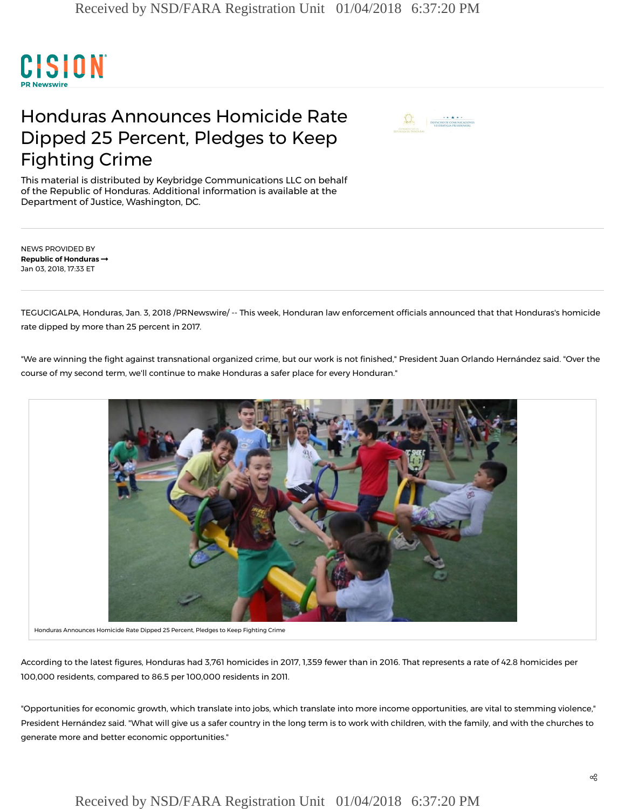

# Honduras Announces Homicide Rate Dipped 25 Percent, Pledges to Keep Fighting Crime



This material is distributed by Keybridge Communications LLC on behalf of the Republic of Honduras. Additional information is available at the Department of Justice, Washington, DC.

NEWS PROVIDED BY Republic of [Honduras](https://www.prnewswire.com/news/republic-of-honduras) Jan 03, 2018, 17:33 ET

TEGUCIGALPA, Honduras, Jan. 3, 2018 /PRNewswire/ -- This week, Honduran law enforcement officials announced that that Honduras's homicide rate dipped by more than 25 percent in 2017.

"We are winning the fight against transnational organized crime, but our work is not finished," President Juan Orlando Hernández said. "Over the course of my second term, we'll continue to make Honduras a safer place for every Honduran."



Honduras Announces Homicide Rate Dipped 25 Percent, Pledges to Keep Fighting Crime

According to the latest fi[gures](http://www.latribuna.hn/2018/01/02/honduras-cierra-2017-3-791-homicidios-264-menos-2016/), Honduras had 3,761 homicides in 2017, 1,359 fewer than in 2016. That represents a rate of 42.8 homicides per 100,000 residents, compared to 86.5 per 100,000 residents in 2011.

"Opportunities for economic growth, which translate into jobs, which translate into more income opportunities, are vital to stemming violence," President Hernández said. "What will give us a safer country in the long term is to work with children, with the family, and with the churches to generate more and better economic opportunities."